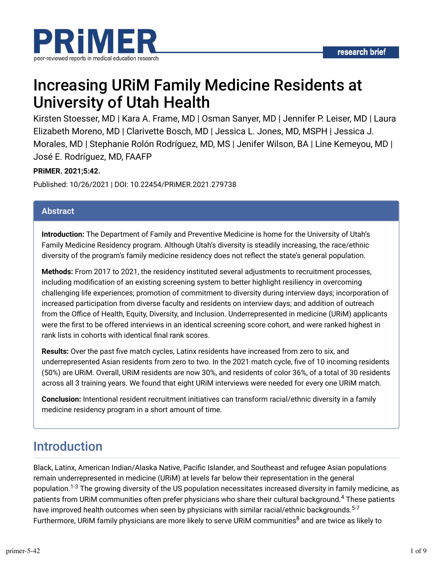

# Increasing URiM Family Medicine Residents at University of Utah Health

Kirsten Stoesser, MD | Kara A. Frame, MD | Osman Sanyer, MD | Jennifer P. Leiser, MD | Laura Elizabeth Moreno, MD | Clarivette Bosch, MD | Jessica L. Jones, MD, MSPH | Jessica J. Morales, MD | Stephanie Rolón Rodríguez, MD, MS | Jenifer Wilson, BA | Line Kemeyou, MD | José E. Rodríguez, MD, FAAFP

#### **PRiMER. 2021;5:42.**

Published: 10/26/2021 | DOI: 10.22454/PRiMER.2021.279738

#### **Abstract**

**Introduction:** The Department of Family and Preventive Medicine is home for the University of Utah's Family Medicine Residency program. Although Utah's diversity is steadily increasing, the race/ethnic diversity of the program's family medicine residency does not reflect the state's general population.

**Methods:** From 2017 to 2021, the residency instituted several adjustments to recruitment processes, including modification of an existing screening system to better highlight resiliency in overcoming challenging life experiences; promotion of commitment to diversity during interview days; incorporation of increased participation from diverse faculty and residents on interview days; and addition of outreach from the Office of Health, Equity, Diversity, and Inclusion. Underrepresented in medicine (URIM) applicants were the first to be offered interviews in an identical screening score cohort, and were ranked highest in rank lists in cohorts with identical final rank scores.

**Results:** Over the past five match cycles, Latinx residents have increased from zero to six, and underrepresented Asian residents from zero to two. In the 2021 match cycle, five of 10 incoming residents (50%) are URiM. Overall, URiM residents are now 30%, and residents of color 36%, of a total of 30 residents across all 3 training years. We found that eight URiM interviews were needed for every one URiM match.

**Conclusion:** Intentional resident recruitment initiatives can transform racial/ethnic diversity in a family medicine residency program in a short amount of time.

## Introduction

Black, Latinx, American Indian/Alaska Native, Pacific Islander, and Southeast and refugee Asian populations remain underrepresented in medicine (URiM) at levels far below their representation in the general population.<sup>1-3</sup> The growing diversity of the US population necessitates increased diversity in family medicine, as patients from URiM communities often prefer physicians who share their cultural background.<sup>4</sup> These patients have improved health outcomes when seen by physicians with similar racial/ethnic backgrounds.<sup>5-7</sup> Furthermore, URiM family physicians are more likely to serve URiM communities $^8$  and are twice as likely to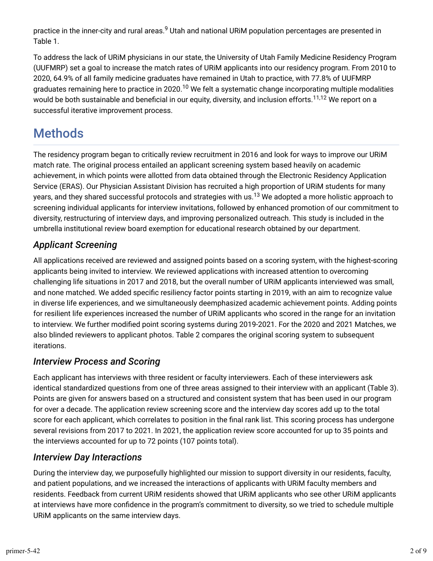practice in the inner-city and rural areas.<sup>9</sup> Utah and national URiM population percentages are presented in Table 1.

To address the lack of URiM physicians in our state, the University of Utah Family Medicine Residency Program (UUFMRP) set a goal to increase the match rates of URiM applicants into our residency program. From 2010 to 2020, 64.9% of all family medicine graduates have remained in Utah to practice, with 77.8% of UUFMRP graduates remaining here to practice in 2020.<sup>10</sup> We felt a systematic change incorporating multiple modalities would be both sustainable and beneficial in our equity, diversity, and inclusion efforts.<sup>11,12</sup> We report on a successful iterative improvement process.

# **Methods**

The residency program began to critically review recruitment in 2016 and look for ways to improve our URiM match rate. The original process entailed an applicant screening system based heavily on academic achievement, in which points were allotted from data obtained through the Electronic Residency Application Service (ERAS). Our Physician Assistant Division has recruited a high proportion of URiM students for many years, and they shared successful protocols and strategies with us.<sup>13</sup> We adopted a more holistic approach to screening individual applicants for interview invitations, followed by enhanced promotion of our commitment to diversity, restructuring of interview days, and improving personalized outreach. This study is included in the umbrella institutional review board exemption for educational research obtained by our department.

## *Applicant Screening*

All applications received are reviewed and assigned points based on a scoring system, with the highest-scoring applicants being invited to interview. We reviewed applications with increased attention to overcoming challenging life situations in 2017 and 2018, but the overall number of URiM applicants interviewed was small, and none matched. We added specific resiliency factor points starting in 2019, with an aim to recognize value in diverse life experiences, and we simultaneously deemphasized academic achievement points. Adding points for resilient life experiences increased the number of URiM applicants who scored in the range for an invitation to interview. We further modified point scoring systems during 2019-2021. For the 2020 and 2021 Matches, we also blinded reviewers to applicant photos. Table 2 compares the original scoring system to subsequent iterations.

## *Interview Process and Scoring*

Each applicant has interviews with three resident or faculty interviewers. Each of these interviewers ask identical standardized questions from one of three areas assigned to their interview with an applicant (Table 3). Points are given for answers based on a structured and consistent system that has been used in our program for over a decade. The application review screening score and the interview day scores add up to the total score for each applicant, which correlates to position in the final rank list. This scoring process has undergone several revisions from 2017 to 2021. In 2021, the application review score accounted for up to 35 points and the interviews accounted for up to 72 points (107 points total).

### *Interview Day Interactions*

During the interview day, we purposefully highlighted our mission to support diversity in our residents, faculty, and patient populations, and we increased the interactions of applicants with URiM faculty members and residents. Feedback from current URiM residents showed that URiM applicants who see other URiM applicants at interviews have more confidence in the program's commitment to diversity, so we tried to schedule multiple URiM applicants on the same interview days.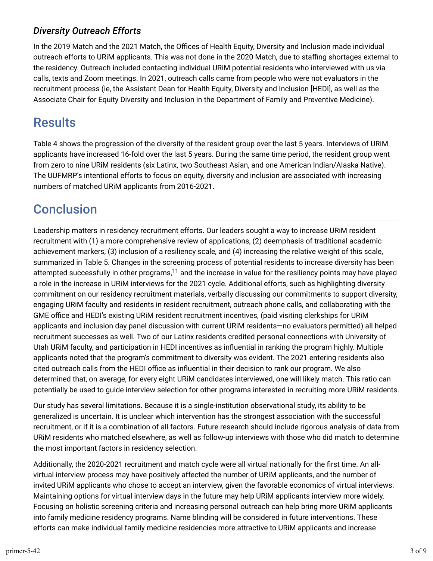### *Diversity Outreach Efforts*

In the 2019 Match and the 2021 Match, the Offices of Health Equity, Diversity and Inclusion made individual outreach efforts to URIM applicants. This was not done in the 2020 Match, due to staffing shortages external to the residency. Outreach included contacting individual URiM potential residents who interviewed with us via calls, texts and Zoom meetings. In 2021, outreach calls came from people who were not evaluators in the recruitment process (ie, the Assistant Dean for Health Equity, Diversity and Inclusion [HEDI], as well as the Associate Chair for Equity Diversity and Inclusion in the Department of Family and Preventive Medicine).

## **Results**

Table 4 shows the progression of the diversity of the resident group over the last 5 years. Interviews of URiM applicants have increased 16-fold over the last 5 years. During the same time period, the resident group went from zero to nine URiM residents (six Latinx, two Southeast Asian, and one American Indian/Alaska Native). The UUFMRP's intentional efforts to focus on equity, diversity and inclusion are associated with increasing numbers of matched URiM applicants from 2016-2021.

# **Conclusion**

Leadership matters in residency recruitment efforts. Our leaders sought a way to increase URiM resident recruitment with (1) a more comprehensive review of applications, (2) deemphasis of traditional academic achievement markers, (3) inclusion of a resiliency scale, and (4) increasing the relative weight of this scale, summarized in Table 5. Changes in the screening process of potential residents to increase diversity has been attempted successfully in other programs, $^{11}$  and the increase in value for the resiliency points may have played a role in the increase in URiM interviews for the 2021 cycle. Additional efforts, such as highlighting diversity commitment on our residency recruitment materials, verbally discussing our commitments to support diversity, engaging URiM faculty and residents in resident recruitment, outreach phone calls, and collaborating with the GME office and HEDI's existing URIM resident recruitment incentives, (paid visiting clerkships for URIM applicants and inclusion day panel discussion with current URiM residents—no evaluators permitted) all helped recruitment successes as well. Two of our Latinx residents credited personal connections with University of Utah URiM faculty, and participation in HEDI incentives as influential in ranking the program highly. Multiple applicants noted that the program's commitment to diversity was evident. The 2021 entering residents also cited outreach calls from the HEDI office as influential in their decision to rank our program. We also determined that, on average, for every eight URiM candidates interviewed, one will likely match. This ratio can potentially be used to guide interview selection for other programs interested in recruiting more URiM residents.

Our study has several limitations. Because it is a single-institution observational study, its ability to be generalized is uncertain. It is unclear which intervention has the strongest association with the successful recruitment, or if it is a combination of all factors. Future research should include rigorous analysis of data from URiM residents who matched elsewhere, as well as follow-up interviews with those who did match to determine the most important factors in residency selection.

Additionally, the 2020-2021 recruitment and match cycle were all virtual nationally for the first time. An allvirtual interview process may have positively affected the number of URiM applicants, and the number of invited URiM applicants who chose to accept an interview, given the favorable economics of virtual interviews. Maintaining options for virtual interview days in the future may help URiM applicants interview more widely. Focusing on holistic screening criteria and increasing personal outreach can help bring more URiM applicants into family medicine residency programs. Name blinding will be considered in future interventions. These efforts can make individual family medicine residencies more attractive to URiM applicants and increase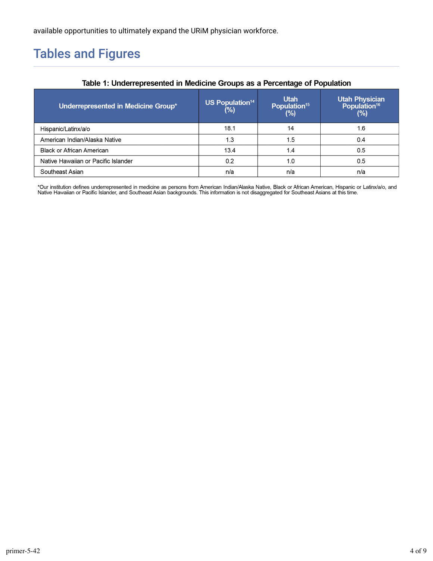available opportunities to ultimately expand the URiM physician workforce.

# Tables and Figures

|                                     |                                          | ັ                                                 |                                                          |
|-------------------------------------|------------------------------------------|---------------------------------------------------|----------------------------------------------------------|
| Underrepresented in Medicine Group* | <b>US Population<sup>14</sup></b><br>(%) | <b>Utah</b><br>Population <sup>15</sup><br>$(\%)$ | <b>Utah Physician<br/>Population<sup>16</sup></b><br>(%) |
| Hispanic/Latinx/a/o                 | 18.1                                     | 14                                                | 1.6                                                      |
| American Indian/Alaska Native       | 1.3                                      | 1.5                                               | 0.4                                                      |
| Black or African American           | 13.4                                     | 1.4                                               | 0.5                                                      |
| Native Hawaiian or Pacific Islander | 0.2                                      | 1.0                                               | 0.5                                                      |
| Southeast Asian                     | n/a                                      | n/a                                               | n/a                                                      |

#### Table 1: Underrepresented in Medicine Groups as a Percentage of Population

\*Our institution defines underrepresented in medicine as persons from American Indian/Alaska Native, Black or African American, Hispanic or Latinx/a/o, and<br>Native Hawaiian or Pacific Islander, and Southeast Asian backgroun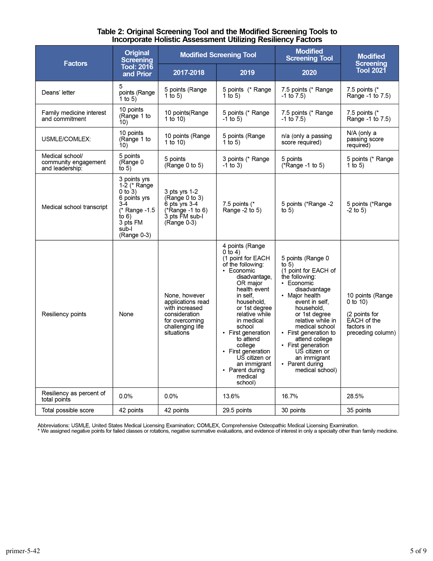# Table 2: Original Screening Tool and the Modified Screening Tools to<br>Incorporate Holistic Assessment Utilizing Resiliency Factors

| <b>Factors</b>                                             | <b>Original</b><br><b>Screening</b>                                                                                                  | <b>Modified Screening Tool</b>                                                                                            |                                                                                                                                                                                                                                                                                                                                                                    | <b>Modified</b><br><b>Screening Tool</b>                                                                                                                                                                                                                                                                                                               | <b>Modified</b>                                                                                    |  |
|------------------------------------------------------------|--------------------------------------------------------------------------------------------------------------------------------------|---------------------------------------------------------------------------------------------------------------------------|--------------------------------------------------------------------------------------------------------------------------------------------------------------------------------------------------------------------------------------------------------------------------------------------------------------------------------------------------------------------|--------------------------------------------------------------------------------------------------------------------------------------------------------------------------------------------------------------------------------------------------------------------------------------------------------------------------------------------------------|----------------------------------------------------------------------------------------------------|--|
|                                                            | <b>Tool: 2016</b><br>and Prior                                                                                                       | 2017-2018                                                                                                                 | 2019                                                                                                                                                                                                                                                                                                                                                               | 2020                                                                                                                                                                                                                                                                                                                                                   | <b>Screening</b><br><b>Tool 2021</b>                                                               |  |
| Deans' letter                                              | 5<br>points (Range<br>1 to 5)                                                                                                        | 5 points (Range<br>1 to 5)                                                                                                | 5 points (* Range<br>1 to 5)                                                                                                                                                                                                                                                                                                                                       | 7.5 points (* Range<br>$-1$ to $7.5$ )                                                                                                                                                                                                                                                                                                                 | 7.5 points $(*$<br>Range -1 to 7.5)                                                                |  |
| Family medicine interest<br>and commitment                 | 10 points<br>(Range 1 to<br>10)                                                                                                      | 10 points (Range<br>1 to 10)                                                                                              | 5 points (* Range<br>$-1$ to 5)                                                                                                                                                                                                                                                                                                                                    | 7.5 points (* Range<br>$-1$ to $7.5$ )                                                                                                                                                                                                                                                                                                                 | 7.5 points $(*$<br>Range -1 to 7.5)                                                                |  |
| USMLE/COMLEX:                                              | 10 points<br>(Range 1 to<br>10)                                                                                                      | 10 points (Range<br>1 to $10$ )                                                                                           | 5 points (Range<br>1 to 5)                                                                                                                                                                                                                                                                                                                                         | n/a (only a passing<br>score required)                                                                                                                                                                                                                                                                                                                 | N/A (only a<br>passing score<br>required)                                                          |  |
| Medical school/<br>community engagement<br>and leadership. | 5 points<br>(Range 0<br>to 5)                                                                                                        | 5 points<br>(Range $0$ to $5$ )                                                                                           | 3 points (* Range<br>$-1$ to 3)                                                                                                                                                                                                                                                                                                                                    | 5 points<br>$(*Range - 1 to 5)$                                                                                                                                                                                                                                                                                                                        | 5 points (* Range<br>1 to 5)                                                                       |  |
| Medical school transcript                                  | 3 points yrs<br>1-2 (* Range<br>$0$ to $3)$<br>6 points yrs<br>$3-4$<br>(* Range -1.5<br>to $6)$<br>3 pts FM<br>sub-l<br>(Range 0-3) | 3 pts yrs 1-2<br>(Range $0$ to $3$ )<br>$6$ pts yrs $3-4$<br>(*Range -1 to 6)<br>3 pts FM sub-I<br>$(Range 0-3)$          | 7.5 points $(*$<br>Range -2 to 5)                                                                                                                                                                                                                                                                                                                                  | 5 points (*Range -2<br>to $5)$                                                                                                                                                                                                                                                                                                                         | 5 points (*Range<br>$-2$ to 5)                                                                     |  |
| Resiliency points                                          | None                                                                                                                                 | None, however<br>applications read<br>with increased<br>consideration<br>for overcoming<br>challenging life<br>situations | 4 points (Range<br>0 to 4)<br>(1 point for EACH<br>of the following:<br>• Economic<br>disadvantage,<br>OR major<br>health event<br>in self,<br>household,<br>or 1st degree<br>relative while<br>in medical<br>school<br>• First generation<br>to attend<br>college<br>• First generation<br>US citizen or<br>an immigrant<br>• Parent during<br>medical<br>school) | 5 points (Range 0<br>to $5)$<br>(1 point for EACH of<br>the following:<br>• Economic<br>disadvantage<br>• Major health<br>event in self,<br>household,<br>or 1st degree<br>relative while in<br>medical school<br>• First generation to<br>attend college<br>• First generation<br>US citizen or<br>an immigrant<br>• Parent during<br>medical school) | 10 points (Range<br>0 to $10$ )<br>(2 points for<br>EACH of the<br>factors in<br>preceding column) |  |
| Resiliency as percent of<br>total points                   | 0.0%                                                                                                                                 | 0.0%                                                                                                                      | 13.6%                                                                                                                                                                                                                                                                                                                                                              | 16.7%                                                                                                                                                                                                                                                                                                                                                  | 28.5%                                                                                              |  |
| Total possible score                                       | 42 points                                                                                                                            | 42 points                                                                                                                 | 29.5 points                                                                                                                                                                                                                                                                                                                                                        | 30 points                                                                                                                                                                                                                                                                                                                                              | 35 points                                                                                          |  |

Abbreviations: USMLE, United States Medical Licensing Examination; COMLEX, Comprehensive Osteopathic Medical Licensing Examination.<br>\* We assigned negative points for failed classes or rotations, negative summative evaluati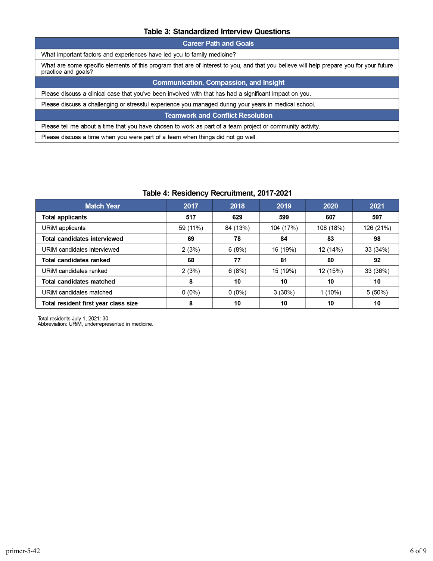#### Table 3: Standardized Interview Questions

| <b>Career Path and Goals</b>                  |                                                                                                                                                                |  |  |  |  |  |
|-----------------------------------------------|----------------------------------------------------------------------------------------------------------------------------------------------------------------|--|--|--|--|--|
|                                               | What important factors and experiences have led you to family medicine?                                                                                        |  |  |  |  |  |
|                                               | What are some specific elements of this program that are of interest to you, and that you believe will help prepare you for your future<br>practice and goals? |  |  |  |  |  |
| <b>Communication, Compassion, and Insight</b> |                                                                                                                                                                |  |  |  |  |  |
|                                               | Please discuss a clinical case that you've been involved with that has had a significant impact on you.                                                        |  |  |  |  |  |
|                                               | Please discuss a challenging or stressful experience you managed during your years in medical school.                                                          |  |  |  |  |  |
| <b>Teamwork and Conflict Resolution</b>       |                                                                                                                                                                |  |  |  |  |  |
|                                               | Please tell me about a time that you have chosen to work as part of a team project or community activity.                                                      |  |  |  |  |  |
|                                               | Please discuss a time when you were part of a team when things did not go well.                                                                                |  |  |  |  |  |
|                                               |                                                                                                                                                                |  |  |  |  |  |

#### Table 4: Residency Recruitment, 2017-2021

| <b>Match Year</b>                    | 2017     | 2018     | 2019      | 2020      | 2021      |
|--------------------------------------|----------|----------|-----------|-----------|-----------|
| <b>Total applicants</b>              | 517      | 629      | 599       | 607       | 597       |
| URIM applicants                      | 59 (11%) | 84 (13%) | 104 (17%) | 108 (18%) | 126 (21%) |
| <b>Total candidates interviewed</b>  | 69       | 78       | 84        | 83        | 98        |
| URIM candidates interviewed          | 2(3%)    | 6(8%)    | 16 (19%)  | 12 (14%)  | 33 (34%)  |
| <b>Total candidates ranked</b>       | 68       | 77       | 81        | 80        | 92        |
| URIM candidates ranked               | 2(3%)    | 6(8%)    | 15 (19%)  | 12 (15%)  | 33 (36%)  |
| <b>Total candidates matched</b>      | 8        | 10       | 10        | 10        | 10        |
| URIM candidates matched              | $0(0\%)$ | $0(0\%)$ | $3(30\%)$ | $1(10\%)$ | $5(50\%)$ |
| Total resident first vear class size | 8        | 10       | 10        | 10        | 10        |

Total residents July 1, 2021: 30<br>Abbreviation: URiM, underrepresented in medicine.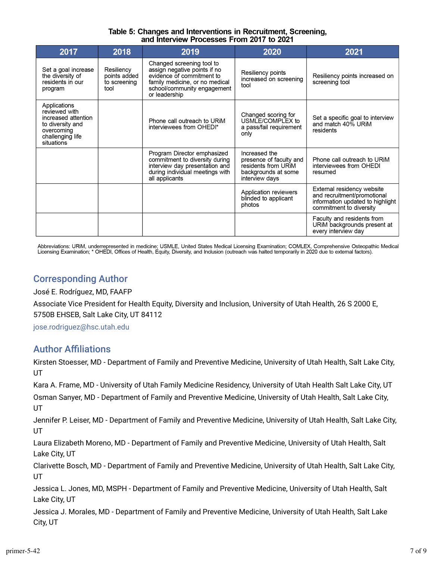#### Table 5: Changes and Interventions in Recruitment, Screening, and Interview Processes From 2017 to 2021

| 2017                                                                                                                     | 2018                                               | 2019                                                                                                                                                                     | 2020                                                                                                     | 2021                                                                                                                     |
|--------------------------------------------------------------------------------------------------------------------------|----------------------------------------------------|--------------------------------------------------------------------------------------------------------------------------------------------------------------------------|----------------------------------------------------------------------------------------------------------|--------------------------------------------------------------------------------------------------------------------------|
| Set a goal increase<br>the diversity of<br>residents in our<br>program                                                   | Resiliency<br>points added<br>to screening<br>tool | Changed screening tool to<br>assign negative points if no<br>evidence of commitment to<br>family medicine, or no medical<br>school/community engagement<br>or leadership | Resiliency points<br>increased on screening<br>tool                                                      | Resiliency points increased on<br>screening tool                                                                         |
| Applications<br>reviewed with<br>increased attention<br>to diversity and<br>overcoming<br>challenging life<br>situations |                                                    | Phone call outreach to URIM<br>interviewees from OHEDI*                                                                                                                  | Changed scoring for<br>USMLE/COMPLEX to<br>a pass/fail requirement<br>only                               | Set a specific goal to interview<br>and match 40% URIM<br>residents                                                      |
|                                                                                                                          |                                                    | Program Director emphasized<br>commitment to diversity during<br>interview day presentation and<br>during individual meetings with<br>all applicants                     | Increased the<br>presence of faculty and<br>residents from URIM<br>backgrounds at some<br>interview days | Phone call outreach to URIM<br>interviewees from OHEDI<br>resumed                                                        |
|                                                                                                                          |                                                    |                                                                                                                                                                          | Application reviewers<br>blinded to applicant<br>photos                                                  | External residency website<br>and recruitment/promotional<br>information updated to highlight<br>commitment to diversity |
|                                                                                                                          |                                                    |                                                                                                                                                                          |                                                                                                          | Faculty and residents from<br>URIM backgrounds present at<br>every interview day                                         |

Abbreviations: URiM, underrepresented in medicine; USMLE, United States Medical Licensing Examination; COMLEX, Comprehensive Osteopathic Medical Licensing Examination; \* OHEDI, Offices of Health, Equity, Diversity, and Inclusion (outreach was halted temporarily in 2020 due to external factors).

### Corresponding Author

José E. Rodríguez, MD, FAAFP

Associate Vice President for Health Equity, Diversity and Inclusion, University of Utah Health, 26 S 2000 E, 5750B EHSEB, Salt Lake City, UT 84112

[jose.rodriguez@hsc.utah.edu](mailto:jose.rodriguez@hsc.utah.edu)

### **Author Affiliations**

Kirsten Stoesser, MD - Department of Family and Preventive Medicine, University of Utah Health, Salt Lake City, UT

Kara A. Frame, MD - University of Utah Family Medicine Residency, University of Utah Health Salt Lake City, UT Osman Sanyer, MD - Department of Family and Preventive Medicine, University of Utah Health, Salt Lake City, UT

Jennifer P. Leiser, MD - Department of Family and Preventive Medicine, University of Utah Health, Salt Lake City, UT

Laura Elizabeth Moreno, MD - Department of Family and Preventive Medicine, University of Utah Health, Salt Lake City, UT

Clarivette Bosch, MD - Department of Family and Preventive Medicine, University of Utah Health, Salt Lake City, UT

Jessica L. Jones, MD, MSPH - Department of Family and Preventive Medicine, University of Utah Health, Salt Lake City, UT

Jessica J. Morales, MD - Department of Family and Preventive Medicine, University of Utah Health, Salt Lake City, UT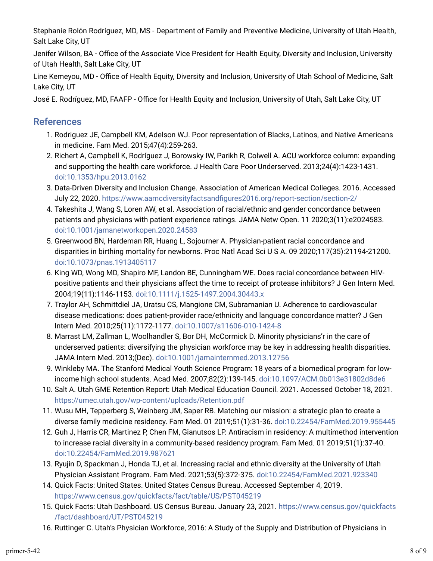Stephanie Rolón Rodríguez, MD, MS - Department of Family and Preventive Medicine, University of Utah Health, Salt Lake City, UT

Jenifer Wilson, BA - Office of the Associate Vice President for Health Equity, Diversity and Inclusion, University of Utah Health, Salt Lake City, UT

Line Kemeyou, MD - Office of Health Equity, Diversity and Inclusion, University of Utah School of Medicine, Salt Lake City, UT

José E. Rodríguez, MD, FAAFP - Office for Health Equity and Inclusion, University of Utah, Salt Lake City, UT

### References

- 1. Rodriguez JE, Campbell KM, Adelson WJ. Poor representation of Blacks, Latinos, and Native Americans in medicine. Fam Med. 2015;47(4):259-263.
- 2. Richert A, Campbell K, Rodríguez J, Borowsky IW, Parikh R, Colwell A. ACU workforce column: expanding and supporting the health care workforce. J Health Care Poor Underserved. 2013;24(4):1423-1431. [doi:10.1353/hpu.2013.0162](https://doi.org/10.1353/hpu.2013.0162)
- 3. Data-Driven Diversity and Inclusion Change. Association of American Medical Colleges. 2016. Accessed July 22, 2020. [https://www.aamcdiversityfactsand\\_gures2016.org/report-section/section-2/](https://www.aamcdiversityfactsandfigures2016.org/report-section/section-2/)
- 4. Takeshita J, Wang S, Loren AW, et al. Association of racial/ethnic and gender concordance between patients and physicians with patient experience ratings. JAMA Netw Open. 11 2020;3(11):e2024583. [doi:10.1001/jamanetworkopen.2020.24583](https://doi.org/10.1001/jamanetworkopen.2020.24583)
- 5. Greenwood BN, Hardeman RR, Huang L, Sojourner A. Physician-patient racial concordance and disparities in birthing mortality for newborns. Proc Natl Acad Sci U S A. 09 2020;117(35):21194-21200. [doi:10.1073/pnas.1913405117](https://doi.org/10.1073/pnas.1913405117)
- 6. King WD, Wong MD, Shapiro MF, Landon BE, Cunningham WE. Does racial concordance between HIVpositive patients and their physicians affect the time to receipt of protease inhibitors? J Gen Intern Med. 2004;19(11):1146-1153. [doi:10.1111/j.1525-1497.2004.30443.x](https://doi.org/10.1111/j.1525-1497.2004.30443.x)
- 7. Traylor AH, Schmittdiel JA, Uratsu CS, Mangione CM, Subramanian U. Adherence to cardiovascular disease medications: does patient-provider race/ethnicity and language concordance matter? J Gen Intern Med. 2010;25(11):1172-1177. [doi:10.1007/s11606-010-1424-8](https://doi.org/10.1007/s11606-010-1424-8)
- u. Marrast LM, Zallman L, Woolhandler S, Bor DH, McCormick D. Minority physicians'r in the care of underserved patients: diversifying the physician workforce may be key in addressing health disparities. JAMA Intern Med. 2013;(Dec). [doi:10.1001/jamainternmed.2013.12756](https://doi.org/10.1001/jamainternmed.2013.12756)
- 9. Winkleby MA. The Stanford Medical Youth Science Program: 18 years of a biomedical program for lowincome high school students. Acad Med. 2007;82(2):139-145. [doi:10.1097/ACM.0b013e31802d8de6](https://doi.org/10.1097/ACM.0b013e31802d8de6)
- 10. Salt A. Utah GME Retention Report: Utah Medical Education Council. 2021. Accessed October 18, 2021. <https://umec.utah.gov/wp-content/uploads/Retention.pdf>
- 11. Wusu MH, Tepperberg S, Weinberg JM, Saper RB. Matching our mission: a strategic plan to create a diverse family medicine residency. Fam Med. 01 2019;51(1):31-36. [doi:10.22454/FamMed.2019.955445](https://doi.org/10.22454/FamMed.2019.955445)
- 12. Guh J, Harris CR, Martinez P, Chen FM, Gianutsos LP. Antiracism in residency: A multimethod intervention to increase racial diversity in a community-based residency program. Fam Med. 01 2019;51(1):37-40. [doi:10.22454/FamMed.2019.987621](https://doi.org/10.22454/FamMed.2019.987621)
- 13. Ryujin D, Spackman J, Honda TJ, et al. Increasing racial and ethnic diversity at the University of Utah Physician Assistant Program. Fam Med. 2021;53(5):372-375. [doi:10.22454/FamMed.2021.923340](https://doi.org/10.22454/FamMed.2021.923340)
- 14. Quick Facts: United States. United States Census Bureau. Accessed September 4, 2019. <https://www.census.gov/quickfacts/fact/table/US/PST045219>
- 15. Quick Facts: Utah Dashboard. US Census Bureau. January 23, 2021. [https://www.census.gov/quickfacts](https://www.census.gov/quickfacts/fact/dashboard/UT/PST045219) [/fact/dashboard/UT/PST045219](https://www.census.gov/quickfacts/fact/dashboard/UT/PST045219)
- 1s. Ruttinger C. Utah's Physician Workforce, 2016: A Study of the Supply and Distribution of Physicians in